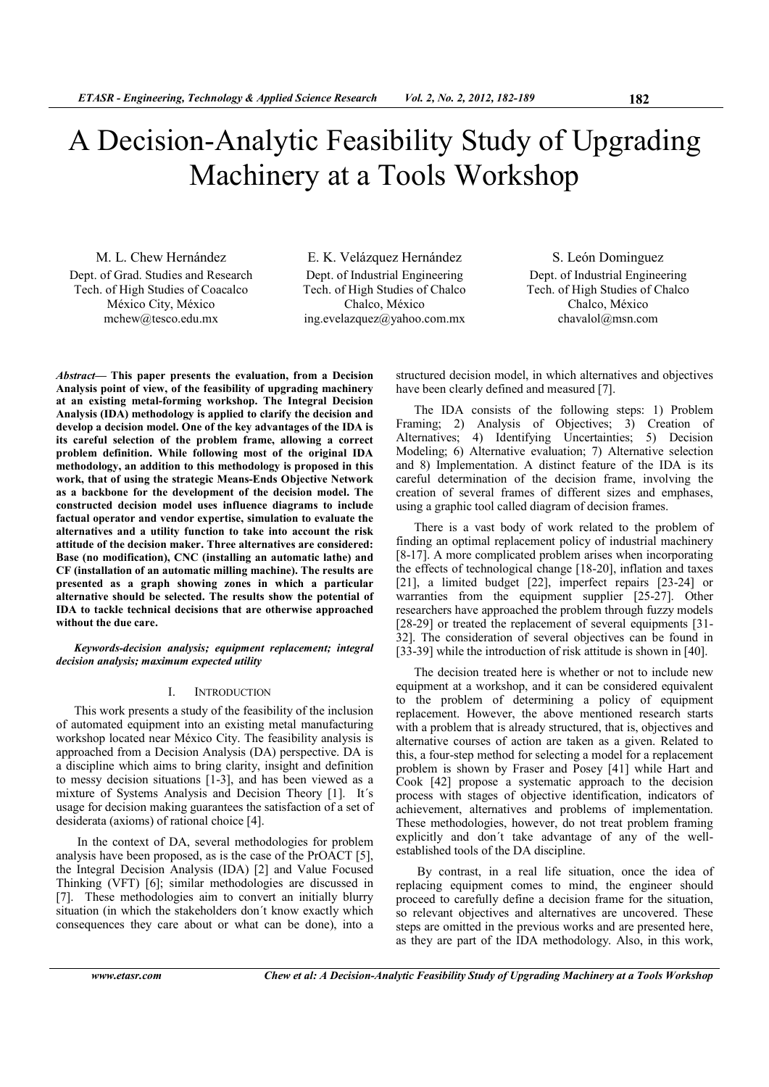# A Decision-Analytic Feasibility Study of Upgrading Machinery at a Tools Workshop

M. L. Chew Hernández Dept. of Grad. Studies and Research Tech. of High Studies of Coacalco México City, México mchew@tesco.edu.mx

E. K. Velázquez Hernández Dept. of Industrial Engineering Tech. of High Studies of Chalco Chalco, México ing.evelazquez@yahoo.com.mx

S. León Dominguez Dept. of Industrial Engineering Tech. of High Studies of Chalco Chalco, México chavalol@msn.com

*Abstract***— This paper presents the evaluation, from a Decision Analysis point of view, of the feasibility of upgrading machinery at an existing metal-forming workshop. The Integral Decision Analysis (IDA) methodology is applied to clarify the decision and develop a decision model. One of the key advantages of the IDA is its careful selection of the problem frame, allowing a correct problem definition. While following most of the original IDA methodology, an addition to this methodology is proposed in this**  work, that of using the strategic Means-Ends Objective Network **as a backbone for the development of the decision model. The constructed decision model uses influence diagrams to include factual operator and vendor expertise, simulation to evaluate the alternatives and a utility function to take into account the risk attitude of the decision maker. Three alternatives are considered:**  Base (no modification), CNC (installing an automatic lathe) and **CF (installation of an automatic milling machine). The results are presented as a graph showing zones in which a particular alternative should be selected. The results show the potential of IDA to tackle technical decisions that are otherwise approached without the due care.** 

*Keywords-decision analysis; equipment replacement; integral decision analysis; maximum expected utility* 

# I. INTRODUCTION

This work presents a study of the feasibility of the inclusion of automated equipment into an existing metal manufacturing workshop located near México City. The feasibility analysis is approached from a Decision Analysis (DA) perspective. DA is a discipline which aims to bring clarity, insight and definition to messy decision situations [1-3], and has been viewed as a mixture of Systems Analysis and Decision Theory [1]. It´s usage for decision making guarantees the satisfaction of a set of desiderata (axioms) of rational choice [4].

 In the context of DA, several methodologies for problem analysis have been proposed, as is the case of the PrOACT [5], the Integral Decision Analysis (IDA) [2] and Value Focused Thinking (VFT) [6]; similar methodologies are discussed in [7]. These methodologies aim to convert an initially blurry situation (in which the stakeholders don´t know exactly which consequences they care about or what can be done), into a

structured decision model, in which alternatives and objectives have been clearly defined and measured [7].

The IDA consists of the following steps: 1) Problem Framing; 2) Analysis of Objectives; 3) Creation of Alternatives; 4) Identifying Uncertainties; 5) Decision Modeling; 6) Alternative evaluation; 7) Alternative selection and 8) Implementation. A distinct feature of the IDA is its careful determination of the decision frame, involving the creation of several frames of different sizes and emphases, using a graphic tool called diagram of decision frames.

There is a vast body of work related to the problem of finding an optimal replacement policy of industrial machinery [8-17]. A more complicated problem arises when incorporating the effects of technological change [18-20], inflation and taxes [21], a limited budget [22], imperfect repairs [23-24] or warranties from the equipment supplier [25-27]. Other researchers have approached the problem through fuzzy models [28-29] or treated the replacement of several equipments [31-32]. The consideration of several objectives can be found in [33-39] while the introduction of risk attitude is shown in [40].

The decision treated here is whether or not to include new equipment at a workshop, and it can be considered equivalent to the problem of determining a policy of equipment replacement. However, the above mentioned research starts with a problem that is already structured, that is, objectives and alternative courses of action are taken as a given. Related to this, a four-step method for selecting a model for a replacement problem is shown by Fraser and Posey [41] while Hart and Cook [42] propose a systematic approach to the decision process with stages of objective identification, indicators of achievement, alternatives and problems of implementation. These methodologies, however, do not treat problem framing explicitly and don´t take advantage of any of the wellestablished tools of the DA discipline.

 By contrast, in a real life situation, once the idea of replacing equipment comes to mind, the engineer should proceed to carefully define a decision frame for the situation, so relevant objectives and alternatives are uncovered. These steps are omitted in the previous works and are presented here, as they are part of the IDA methodology. Also, in this work,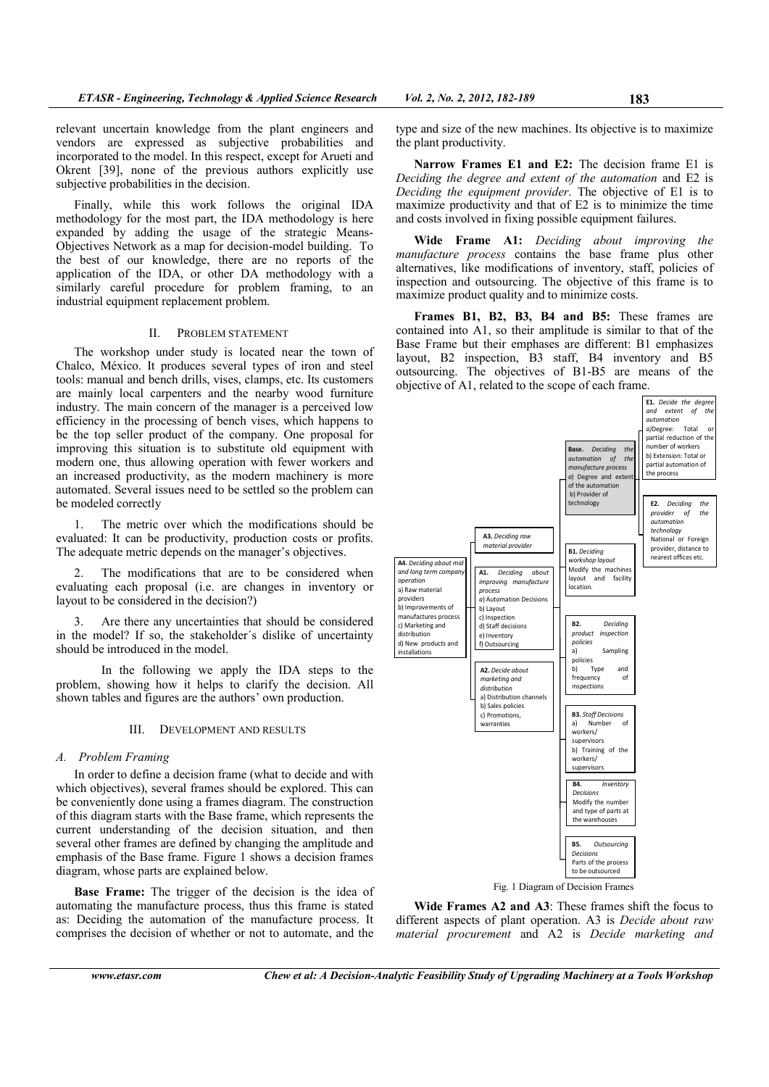relevant uncertain knowledge from the plant engineers and vendors are expressed as subjective probabilities and incorporated to the model. In this respect, except for Arueti and Okrent [39], none of the previous authors explicitly use subjective probabilities in the decision.

Finally, while this work follows the original IDA methodology for the most part, the IDA methodology is here expanded by adding the usage of the strategic Means-Objectives Network as a map for decision-model building. To the best of our knowledge, there are no reports of the application of the IDA, or other DA methodology with a similarly careful procedure for problem framing, to an industrial equipment replacement problem.

# II. PROBLEM STATEMENT

The workshop under study is located near the town of Chalco, México. It produces several types of iron and steel tools: manual and bench drills, vises, clamps, etc. Its customers are mainly local carpenters and the nearby wood furniture industry. The main concern of the manager is a perceived low efficiency in the processing of bench vises, which happens to be the top seller product of the company. One proposal for improving this situation is to substitute old equipment with modern one, thus allowing operation with fewer workers and an increased productivity, as the modern machinery is more automated. Several issues need to be settled so the problem can be modeled correctly

1. The metric over which the modifications should be evaluated: It can be productivity, production costs or profits. The adequate metric depends on the manager's objectives.

2. The modifications that are to be considered when evaluating each proposal (i.e. are changes in inventory or layout to be considered in the decision?)

Are there any uncertainties that should be considered in the model? If so, the stakeholder´s dislike of uncertainty should be introduced in the model.

 In the following we apply the IDA steps to the problem, showing how it helps to clarify the decision. All shown tables and figures are the authors' own production.

# III. DEVELOPMENT AND RESULTS

## *A. Problem Framing*

In order to define a decision frame (what to decide and with which objectives), several frames should be explored. This can be conveniently done using a frames diagram. The construction of this diagram starts with the Base frame, which represents the current understanding of the decision situation, and then several other frames are defined by changing the amplitude and emphasis of the Base frame. Figure 1 shows a decision frames diagram, whose parts are explained below.

**Base Frame:** The trigger of the decision is the idea of automating the manufacture process, thus this frame is stated as: Deciding the automation of the manufacture process. It comprises the decision of whether or not to automate, and the type and size of the new machines. Its objective is to maximize the plant productivity.

Narrow Frames E1 and E2: The decision frame E1 is *Deciding the degree and extent of the automation* and E2 is *Deciding the equipment provider*. The objective of E1 is to maximize productivity and that of E2 is to minimize the time and costs involved in fixing possible equipment failures.

**Wide Frame A1:** *Deciding about improving the manufacture process* contains the base frame plus other alternatives, like modifications of inventory, staff, policies of inspection and outsourcing. The objective of this frame is to maximize product quality and to minimize costs.

**Frames B1, B2, B3, B4 and B5:** These frames are contained into A1, so their amplitude is similar to that of the Base Frame but their emphases are different: B1 emphasizes layout, B2 inspection, B3 staff, B4 inventory and B5 outsourcing. The objectives of B1-B5 are means of the objective of A1, related to the scope of each frame.



**Wide Frames A2 and A3**: These frames shift the focus to different aspects of plant operation. A3 is *Decide about raw material procurement* and A2 is *Decide marketing and*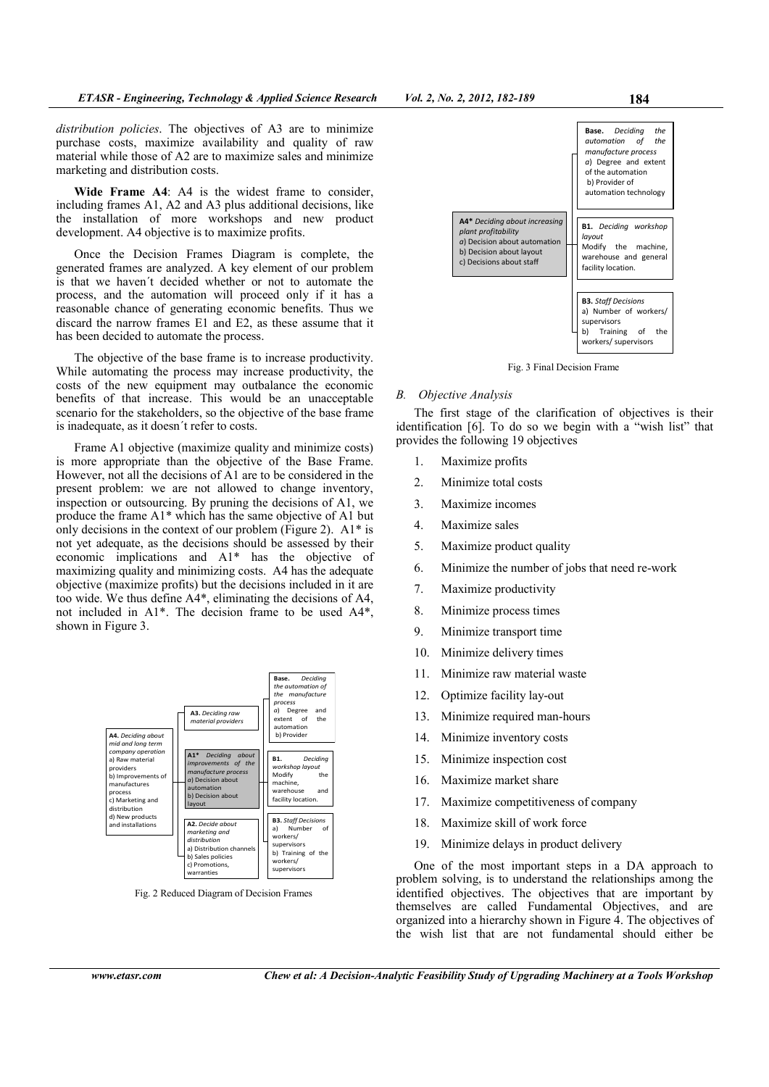*distribution policies*. The objectives of A3 are to minimize purchase costs, maximize availability and quality of raw material while those of A2 are to maximize sales and minimize marketing and distribution costs.

**Wide Frame A4**: A4 is the widest frame to consider, including frames A1, A2 and A3 plus additional decisions, like the installation of more workshops and new product development. A4 objective is to maximize profits.

Once the Decision Frames Diagram is complete, the generated frames are analyzed. A key element of our problem is that we haven´t decided whether or not to automate the process, and the automation will proceed only if it has a reasonable chance of generating economic benefits. Thus we discard the narrow frames E1 and E2, as these assume that it has been decided to automate the process.

The objective of the base frame is to increase productivity. While automating the process may increase productivity, the costs of the new equipment may outbalance the economic benefits of that increase. This would be an unacceptable scenario for the stakeholders, so the objective of the base frame is inadequate, as it doesn´t refer to costs.

Frame A1 objective (maximize quality and minimize costs) is more appropriate than the objective of the Base Frame. However, not all the decisions of  $\tilde{A}1$  are to be considered in the present problem: we are not allowed to change inventory, inspection or outsourcing. By pruning the decisions of A1, we produce the frame A1\* which has the same objective of A1 but only decisions in the context of our problem (Figure 2).  $A1*$  is not yet adequate, as the decisions should be assessed by their economic implications and A1\* has the objective of maximizing quality and minimizing costs. A4 has the adequate objective (maximize profits) but the decisions included in it are too wide. We thus define A4\*, eliminating the decisions of A4, not included in A1\*. The decision frame to be used A4\*, shown in Figure 3.



Fig. 2 Reduced Diagram of Decision Frames



Fig. 3 Final Decision Frame

## *B. Objective Analysis*

The first stage of the clarification of objectives is their identification [6]. To do so we begin with a "wish list" that provides the following 19 objectives

- 1. Maximize profits
- 2. Minimize total costs
- 3. Maximize incomes
- 4. Maximize sales
- 5. Maximize product quality
- 6. Minimize the number of jobs that need re-work
- 7. Maximize productivity
- 8. Minimize process times
- 9. Minimize transport time
- 10. Minimize delivery times
- 11. Minimize raw material waste
- 12. Optimize facility lay-out
- 13. Minimize required man-hours
- 14. Minimize inventory costs
- 15. Minimize inspection cost
- 16. Maximize market share
- 17. Maximize competitiveness of company
- 18. Maximize skill of work force
- 19. Minimize delays in product delivery

One of the most important steps in a DA approach to problem solving, is to understand the relationships among the identified objectives. The objectives that are important by themselves are called Fundamental Objectives, and are organized into a hierarchy shown in Figure 4. The objectives of the wish list that are not fundamental should either be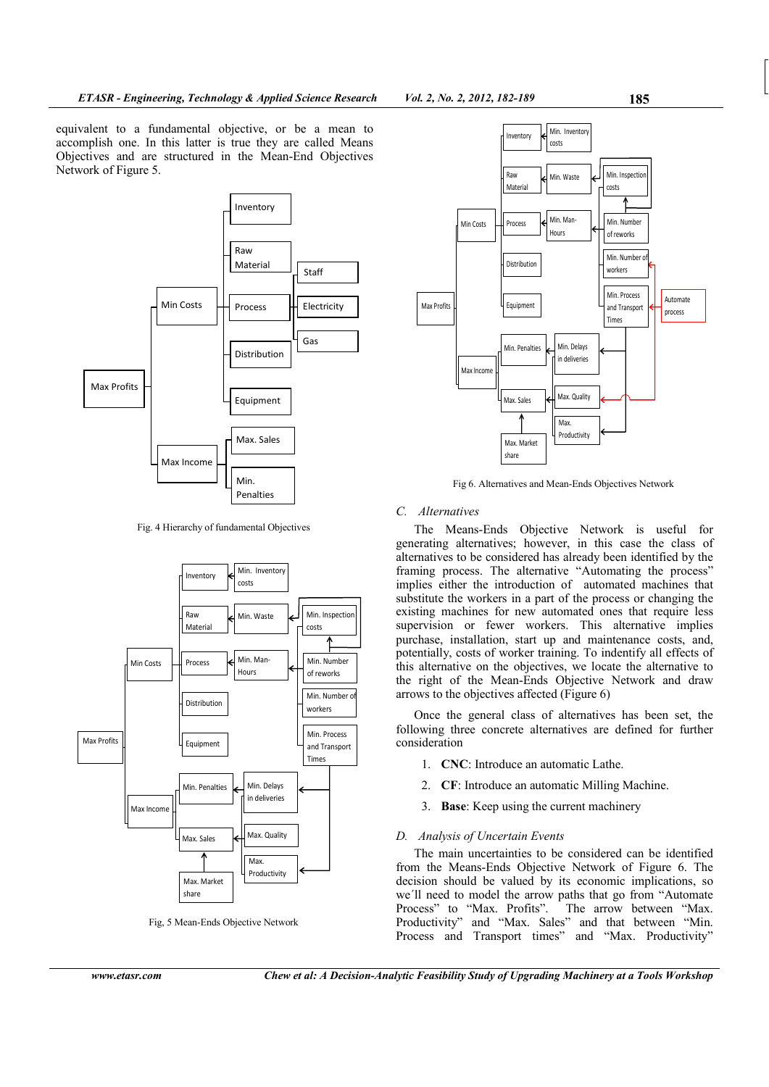equivalent to a fundamental objective, or be a mean to accomplish one. In this latter is true they are called Means Objectives and are structured in the Mean-End Objectives Network of Figure 5.



Fig. 4 Hierarchy of fundamental Objectives



Fig, 5 Mean-Ends Objective Network



Fig 6. Alternatives and Mean-Ends Objectives Network

# *C. Alternatives*

The Means-Ends Objective Network is useful for generating alternatives; however, in this case the class of alternatives to be considered has already been identified by the framing process. The alternative "Automating the process" implies either the introduction of automated machines that substitute the workers in a part of the process or changing the existing machines for new automated ones that require less supervision or fewer workers. This alternative implies purchase, installation, start up and maintenance costs, and, potentially, costs of worker training. To indentify all effects of this alternative on the objectives, we locate the alternative to the right of the Mean-Ends Objective Network and draw arrows to the objectives affected (Figure 6)

Once the general class of alternatives has been set, the following three concrete alternatives are defined for further consideration

- 1. **CNC**: Introduce an automatic Lathe.
- 2. **CF**: Introduce an automatic Milling Machine.
- 3. **Base**: Keep using the current machinery

## *D. Analysis of Uncertain Events*

The main uncertainties to be considered can be identified from the Means-Ends Objective Network of Figure 6. The decision should be valued by its economic implications, so we´ll need to model the arrow paths that go from "Automate Process" to "Max. Profits". The arrow between "Max. Productivity" and "Max. Sales" and that between "Min. Process and Transport times" and "Max. Productivity"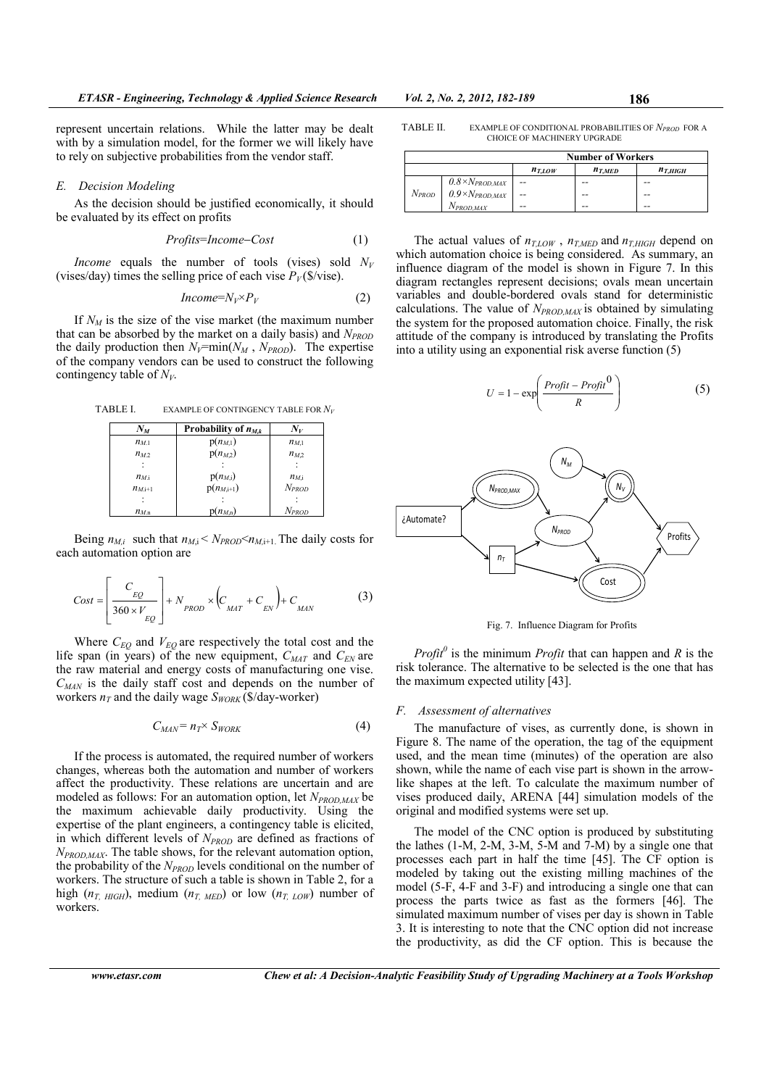represent uncertain relations. While the latter may be dealt with by a simulation model, for the former we will likely have to rely on subjective probabilities from the vendor staff.

#### *E. Decision Modeling*

As the decision should be justified economically, it should be evaluated by its effect on profits

$$
Profits = Income - Cost \tag{1}
$$

*Income* equals the number of tools (vises) sold  $N_V$ (vises/day) times the selling price of each vise  $P_V$  (\$/vise).

$$
Income = N_V \times P_V \tag{2}
$$

If  $N_M$  is the size of the vise market (the maximum number that can be absorbed by the market on a daily basis) and *'PROD* the daily production then  $N_V$ =min( $N_M$ ,  $N_{PROD}$ ). The expertise of the company vendors can be used to construct the following contingency table of  $N_V$ .

TABLE I. EXAMPLE OF CONTINGENCY TABLE FOR *'<sup>V</sup>*

| $N_M$     | Probability of $n_{M,k}$ | $N_V$             |
|-----------|--------------------------|-------------------|
| $n_{M1}$  | $p(n_{M,1})$             | $n_{M,1}$         |
| $n_{M2}$  | $p(n_{M2})$              | $n_{M,2}$         |
|           |                          |                   |
| $n_M$     | $p(n_{M,i})$             | $n_{M,i}$         |
| $n_{M+1}$ | $p(n_{M,i+1})$           | $N_{PROD}$        |
|           |                          |                   |
| $n_{M,n}$ | $(n_{M,n})$              | N <sub>PROD</sub> |

Being  $n_{M,i}$  such that  $n_{M,i} < N_{PROD} < n_{M,i+1}$ . The daily costs for each automation option are

$$
Cost = \left[ \frac{C_{EQ}}{360 \times V_{EQ}} \right] + N_{PROD} \times \left( C_{MAT} + C_{EN} \right) + C_{MAN} \tag{3}
$$

Where  $C_{EO}$  and  $V_{EO}$  are respectively the total cost and the life span (in years) of the new equipment,  $C_{MAT}$  and  $C_{EN}$  are the raw material and energy costs of manufacturing one vise.  $C_{MAN}$  is the daily staff cost and depends on the number of workers  $n_T$  and the daily wage  $S_{WORK}$  (\$/day-worker)

$$
C_{MAN} = n_T \times S_{WORK} \tag{4}
$$

If the process is automated, the required number of workers changes, whereas both the automation and number of workers affect the productivity. These relations are uncertain and are modeled as follows: For an automation option, let  $N_{PROD,MAX}$  be the maximum achievable daily productivity. Using the expertise of the plant engineers, a contingency table is elicited, in which different levels of *N<sub>PROD</sub>* are defined as fractions of *'PROD,MAX*. The table shows, for the relevant automation option, the probability of the *N<sub>PROD</sub>* levels conditional on the number of workers. The structure of such a table is shown in Table 2, for a high  $(n_T, H \text{H} G H)$ , medium  $(n_{T, MED})$  or low  $(n_{T,LOW})$  number of workers.

TABLE II. EXAMPLE OF CONDITIONAL PROBABILITIES OF *'PROD* FOR A CHOICE OF MACHINERY UPGRADE

|            |                                                      | <b>Number of Workers</b> |             |             |
|------------|------------------------------------------------------|--------------------------|-------------|-------------|
|            |                                                      | $n_{T,LOW}$              | $n_{T,MED}$ | $n_{THIGH}$ |
|            |                                                      | $-$                      | --          | --          |
| $N_{PROD}$ | $0.8\times N_{PROD,MAX}$<br>$0.9\times N_{PROD,MAX}$ | $-$                      | --          | --          |
|            | $N_{PROD,MAX}$                                       | --                       | --          | --          |

The actual values of  $n_{T,LOW}$ ,  $n_{T,MED}$  and  $n_{T,HIGH}$  depend on which automation choice is being considered. As summary, an influence diagram of the model is shown in Figure 7. In this diagram rectangles represent decisions; ovals mean uncertain variables and double-bordered ovals stand for deterministic calculations. The value of  $N_{PROD,MAX}$  is obtained by simulating the system for the proposed automation choice. Finally, the risk attitude of the company is introduced by translating the Profits into a utility using an exponential risk averse function (5)

$$
U = 1 - \exp\left(\frac{Profit - Profit^0}{R}\right) \tag{5}
$$



Fig. 7. Influence Diagram for Profits

*Profit<sup>0</sup>* is the minimum *Profit* that can happen and *R* is the risk tolerance. The alternative to be selected is the one that has the maximum expected utility [43].

## *F. Assessment of alternatives*

The manufacture of vises, as currently done, is shown in Figure 8. The name of the operation, the tag of the equipment used, and the mean time (minutes) of the operation are also shown, while the name of each vise part is shown in the arrowlike shapes at the left. To calculate the maximum number of vises produced daily, ARENA [44] simulation models of the original and modified systems were set up.

The model of the CNC option is produced by substituting the lathes  $(1-M, 2-M, 3-M, 5-M, and 7-M)$  by a single one that processes each part in half the time [45]. The CF option is modeled by taking out the existing milling machines of the model (5-F, 4-F and 3-F) and introducing a single one that can process the parts twice as fast as the formers [46]. The simulated maximum number of vises per day is shown in Table 3. It is interesting to note that the CNC option did not increase the productivity, as did the CF option. This is because the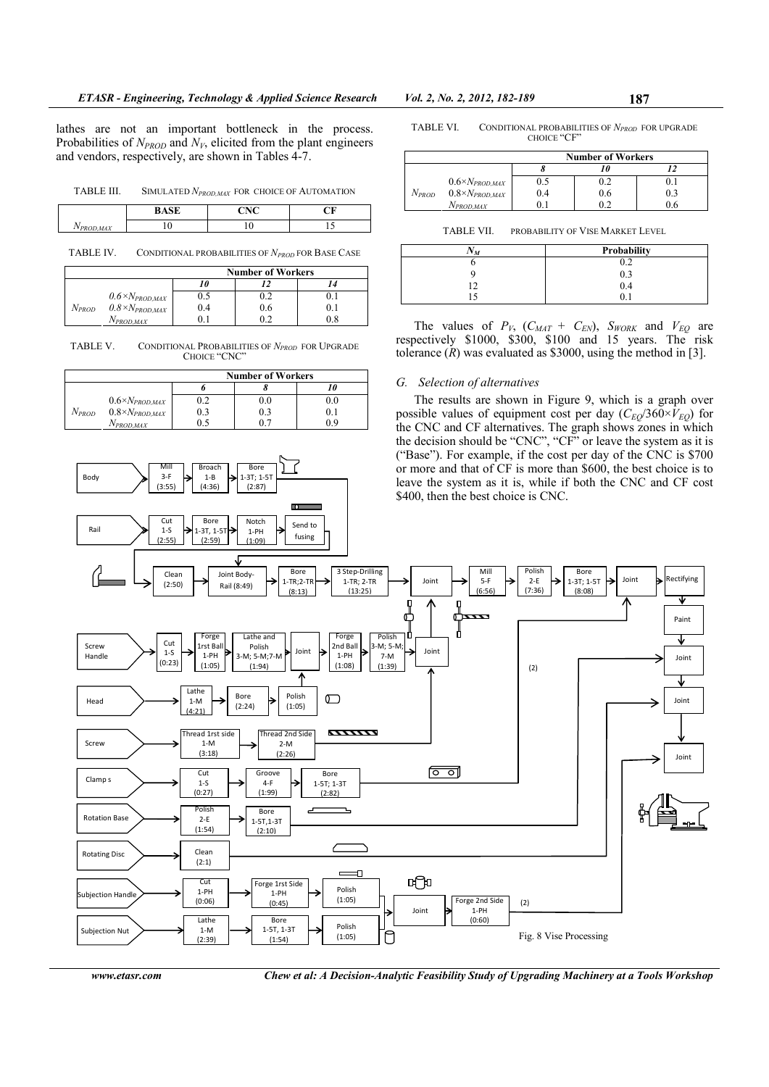lathes are not an important bottleneck in the process. Probabilities of  $N_{PROD}$  and  $N_V$ , elicited from the plant engineers and vendors, respectively, are shown in Tables 4-7.

| SIMULATED $N_{PRODMAX}$ FOR CHOICE OF AUTOMATION<br>TABLE III. |  |
|----------------------------------------------------------------|--|
|----------------------------------------------------------------|--|

|                                   | <b>DACE</b> | $\sum$<br>பட | ິ |
|-----------------------------------|-------------|--------------|---|
| $\cdot$ $\cdot$<br><b>ROD,MAX</b> |             |              |   |

TABLE IV. CONDITIONAL PROBABILITIES OF *'PROD* FOR BASE CASE

|            |                          | <b>Number of Workers</b> |     |         |
|------------|--------------------------|--------------------------|-----|---------|
|            |                          |                          |     |         |
|            | $0.6\times N_{PROD,MAX}$ | 0.5                      | 0.2 |         |
| $N_{PROD}$ | $0.8\times N_{PROD,MAX}$ | 0.4                      | 0.6 | $0.1\,$ |
|            | $N_{PROD.MAX}$           |                          | ∩າ  | 0.8     |

TABLE V. CONDITIONAL PROBABILITIES OF *'PROD* FOR UPGRADE CHOICE "CNC"

|            |                          | <b>Number of Workers</b> |              |     |
|------------|--------------------------|--------------------------|--------------|-----|
|            |                          |                          |              |     |
|            | $0.6\times N_{PROD,MAX}$ |                          | $_{\rm 0.0}$ | 0.C |
| $N_{PROD}$ | $0.8\times N_{PROD,MAX}$ |                          | 0.3          | 0.1 |
|            | Nprod.max                |                          |              | ሰ ዓ |

Broach 1-B (4:36)

**Bore**  $1-3T$ ;  $1-5$ (2:87)

 $\overline{\mathbf{c}}$ 

Mill 3-F (3:55)

**Body** 

|            |                          | <b>Number of Workers</b> |     |     |
|------------|--------------------------|--------------------------|-----|-----|
|            |                          |                          |     |     |
|            | $0.6\times N_{PROD,MAX}$ | 0.5                      | 0.2 |     |
| $N_{PROD}$ | $0.8\times N_{PROD,MAX}$ | 0.4                      | 0.6 | 0.3 |
|            | N <sub>PROD,MAX</sub>    |                          | ∩ ว | ı r |

TABLE VII. PROBABILITY OF VISE MARKET LEVEL

| ΆT<br>$\sqrt{M}$ | Probability |
|------------------|-------------|
|                  | 0.2         |
|                  | 0.3         |
|                  | 0.4         |
|                  |             |

The values of  $P_V$ ,  $(C_{MAT} + C_{EN})$ ,  $S_{WORK}$  and  $V_{EQ}$  are respectively \$1000, \$300, \$100 and 15 years. The risk tolerance  $(R)$  was evaluated as \$3000, using the method in [3].

## *G. Selection of alternatives*

The results are shown in Figure 9, which is a graph over possible values of equipment cost per day  $(C_{EQ}/360\times V_{EQ})$  for the CNC and CF alternatives. The graph shows zones in which the decision should be "CNC", "CF" or leave the system as it is ("Base"). For example, if the cost per day of the CNC is \$700 or more and that of CF is more than \$600, the best choice is to leave the system as it is, while if both the CNC and CF cost \$400, then the best choice is CNC.



*www.etasr.com Chew et al: A Decision-Analytic Feasibility Study of Upgrading Machinery at a Tools Workshop*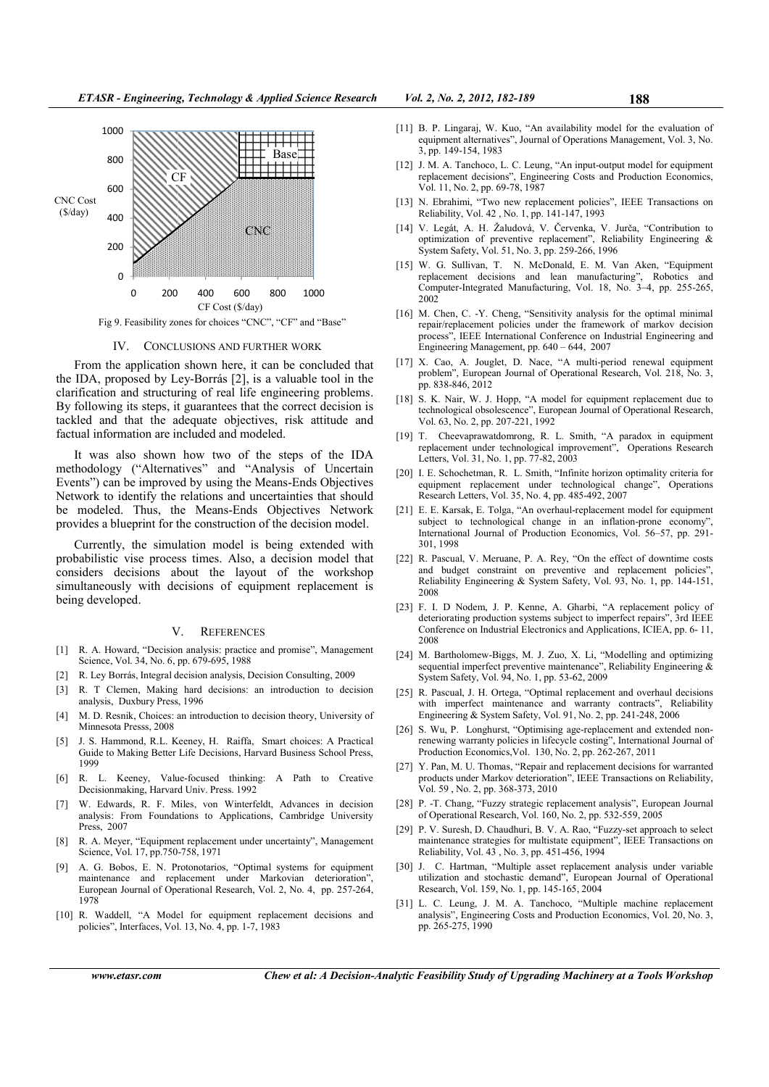

Fig 9. Feasibility zones for choices "CNC", "CF" and "Base"

#### IV. CONCLUSIONS AND FURTHER WORK

From the application shown here, it can be concluded that the IDA, proposed by Ley-Borrás [2], is a valuable tool in the clarification and structuring of real life engineering problems. By following its steps, it guarantees that the correct decision is tackled and that the adequate objectives, risk attitude and factual information are included and modeled.

It was also shown how two of the steps of the IDA methodology ("Alternatives" and "Analysis of Uncertain Events") can be improved by using the Means-Ends Objectives Network to identify the relations and uncertainties that should be modeled. Thus, the Means-Ends Objectives Network provides a blueprint for the construction of the decision model.

Currently, the simulation model is being extended with probabilistic vise process times. Also, a decision model that considers decisions about the layout of the workshop simultaneously with decisions of equipment replacement is being developed.

#### V. REFERENCES

- [1] R. A. Howard, "Decision analysis: practice and promise", Management Science, Vol. 34, No. 6, pp. 679-695, 1988
- [2] R. Ley Borrás, Integral decision analysis, Decision Consulting, 2009
- [3] R. T Clemen, Making hard decisions: an introduction to decision analysis, Duxbury Press, 1996
- [4] M. D. Resnik, Choices: an introduction to decision theory, University of Minnesota Presss, 2008
- [5] J. S. Hammond, R.L. Keeney, H. Raiffa, Smart choices: A Practical Guide to Making Better Life Decisions, Harvard Business School Press, 1999
- [6] R. L. Keeney, Value-focused thinking: A Path to Creative Decisionmaking, Harvard Univ. Press. 1992
- [7] W. Edwards, R. F. Miles, von Winterfeldt, Advances in decision analysis: From Foundations to Applications, Cambridge University Press, 2007
- [8] R. A. Meyer, "Equipment replacement under uncertainty", Management Science, Vol. 17, pp.750-758, 1971
- [9] A. G. Bobos, E. N. Protonotarios, "Optimal systems for equipment maintenance and replacement under Markovian deterioration", European Journal of Operational Research, Vol. 2, No. 4, pp. 257-264, 1978
- [10] R. Waddell, "A Model for equipment replacement decisions and policies", Interfaces, Vol. 13, No. 4, pp. 1-7, 1983
- [11] B. P. Lingaraj, W. Kuo, "An availability model for the evaluation of equipment alternatives", Journal of Operations Management, Vol. 3, No. 3, pp. 149-154, 1983
- [12] J. M. A. Tanchoco, L. C. Leung, "An input-output model for equipment replacement decisions", Engineering Costs and Production Economics, Vol. 11, No. 2, pp. 69-78, 1987
- [13] N. Ebrahimi, "Two new replacement policies", IEEE Transactions on Reliability, Vol. 42 , No. 1, pp. 141-147, 1993
- [14] V. Legát, A. H. Žaludová, V. Červenka, V. Jurča, "Contribution to optimization of preventive replacement", Reliability Engineering & System Safety, Vol. 51, No. 3, pp. 259-266, 1996
- [15] W. G. Sullivan, T. N. McDonald, E. M. Van Aken, "Equipment replacement decisions and lean manufacturing", Robotics and Computer-Integrated Manufacturing, Vol. 18, No. 3–4, pp. 255-265, 2002
- [16] M. Chen, C. -Y. Cheng, "Sensitivity analysis for the optimal minimal repair/replacement policies under the framework of markov decision process", IEEE International Conference on Industrial Engineering and Engineering Management, pp. 640 – 644, 2007
- [17] X. Cao, A. Jouglet, D. Nace, "A multi-period renewal equipment problem", European Journal of Operational Research, Vol. 218, No. 3, pp. 838-846, 2012
- [18] S. K. Nair, W. J. Hopp, "A model for equipment replacement due to technological obsolescence", European Journal of Operational Research, Vol. 63, No. 2, pp. 207-221, 1992
- [19] T. Cheevaprawatdomrong, R. L. Smith, "A paradox in equipment replacement under technological improvement", Operations Research Letters, Vol. 31, No. 1, pp. 77-82, 2003
- [20] I. E. Schochetman, R. L. Smith, "Infinite horizon optimality criteria for equipment replacement under technological change", Operations Research Letters, Vol. 35, No. 4, pp. 485-492, 2007
- [21] E. E. Karsak, E. Tolga, "An overhaul-replacement model for equipment subject to technological change in an inflation-prone economy' International Journal of Production Economics, Vol. 56–57, pp. 291- 301, 1998
- [22] R. Pascual, V. Meruane, P. A. Rey, "On the effect of downtime costs and budget constraint on preventive and replacement policies", Reliability Engineering & System Safety, Vol. 93, No. 1, pp. 144-151, 2008
- [23] F. I. D Nodem, J. P. Kenne, A. Gharbi, "A replacement policy of deteriorating production systems subject to imperfect repairs", 3rd IEEE Conference on Industrial Electronics and Applications, ICIEA, pp. 6- 11, 2008
- [24] M. Bartholomew-Biggs, M. J. Zuo, X. Li, "Modelling and optimizing sequential imperfect preventive maintenance", Reliability Engineering & System Safety, Vol. 94, No. 1, pp. 53-62, 2009
- [25] R. Pascual, J. H. Ortega, "Optimal replacement and overhaul decisions with imperfect maintenance and warranty contracts". Reliability Engineering & System Safety, Vol. 91, No. 2, pp. 241-248, 2006
- [26] S. Wu, P. Longhurst, "Optimising age-replacement and extended nonrenewing warranty policies in lifecycle costing", International Journal of Production Economics,Vol. 130, No. 2, pp. 262-267, 2011
- [27] Y. Pan, M. U. Thomas, "Repair and replacement decisions for warranted products under Markov deterioration", IEEE Transactions on Reliability, Vol. 59 , No. 2, pp. 368-373, 2010
- [28] P. -T. Chang, "Fuzzy strategic replacement analysis", European Journal of Operational Research, Vol. 160, No. 2, pp. 532-559, 2005
- [29] P. V. Suresh, D. Chaudhuri, B. V. A. Rao, "Fuzzy-set approach to select maintenance strategies for multistate equipment", IEEE Transactions on Reliability, Vol. 43 , No. 3, pp. 451-456, 1994
- [30] J. C. Hartman, "Multiple asset replacement analysis under variable utilization and stochastic demand", European Journal of Operational Research, Vol. 159, No. 1, pp. 145-165, 2004
- [31] L. C. Leung, J. M. A. Tanchoco, "Multiple machine replacement analysis", Engineering Costs and Production Economics, Vol. 20, No. 3, pp. 265-275, 1990